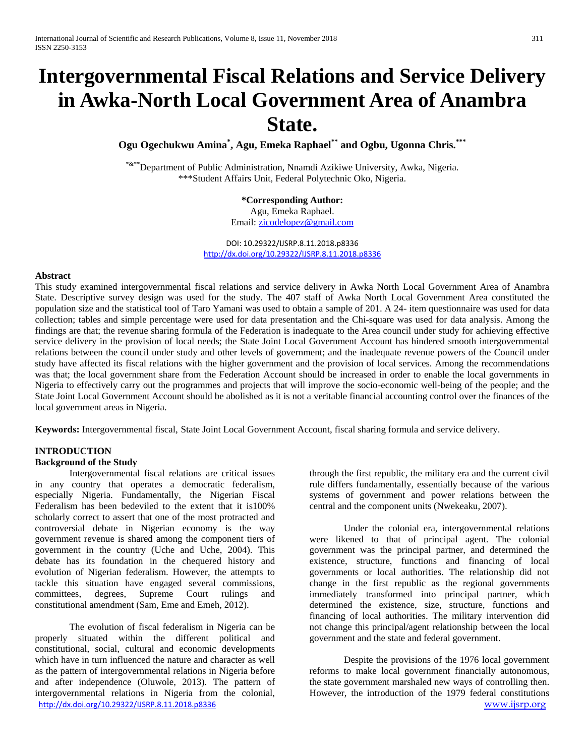# **Intergovernmental Fiscal Relations and Service Delivery in Awka-North Local Government Area of Anambra State.**

**Ogu Ogechukwu Amina\* , Agu, Emeka Raphael\*\* and Ogbu, Ugonna Chris. \*\*\***

\*&\*\*Department of Public Administration, Nnamdi Azikiwe University, Awka, Nigeria. \*\*\*Student Affairs Unit, Federal Polytechnic Oko, Nigeria.

## **\*Corresponding Author:**

Agu, Emeka Raphael. Email: [zicodelopez@gmail.com](mailto:zicodelopez@gmail.com)

DOI: 10.29322/IJSRP.8.11.2018.p8336 <http://dx.doi.org/10.29322/IJSRP.8.11.2018.p8336>

#### **Abstract**

This study examined intergovernmental fiscal relations and service delivery in Awka North Local Government Area of Anambra State. Descriptive survey design was used for the study. The 407 staff of Awka North Local Government Area constituted the population size and the statistical tool of Taro Yamani was used to obtain a sample of 201. A 24- item questionnaire was used for data collection; tables and simple percentage were used for data presentation and the Chi-square was used for data analysis. Among the findings are that; the revenue sharing formula of the Federation is inadequate to the Area council under study for achieving effective service delivery in the provision of local needs; the State Joint Local Government Account has hindered smooth intergovernmental relations between the council under study and other levels of government; and the inadequate revenue powers of the Council under study have affected its fiscal relations with the higher government and the provision of local services. Among the recommendations was that; the local government share from the Federation Account should be increased in order to enable the local governments in Nigeria to effectively carry out the programmes and projects that will improve the socio-economic well-being of the people; and the State Joint Local Government Account should be abolished as it is not a veritable financial accounting control over the finances of the local government areas in Nigeria.

**Keywords:** Intergovernmental fiscal, State Joint Local Government Account, fiscal sharing formula and service delivery.

## **INTRODUCTION**

## **Background of the Study**

Intergovernmental fiscal relations are critical issues in any country that operates a democratic federalism, especially Nigeria. Fundamentally, the Nigerian Fiscal Federalism has been bedeviled to the extent that it is100% scholarly correct to assert that one of the most protracted and controversial debate in Nigerian economy is the way government revenue is shared among the component tiers of government in the country (Uche and Uche, 2004). This debate has its foundation in the chequered history and evolution of Nigerian federalism. However, the attempts to tackle this situation have engaged several commissions, committees, degrees, Supreme Court rulings and constitutional amendment (Sam, Eme and Emeh, 2012).

<http://dx.doi.org/10.29322/IJSRP.8.11.2018.p8336> [www.ijsrp.org](http://ijsrp.org/) The evolution of fiscal federalism in Nigeria can be properly situated within the different political and constitutional, social, cultural and economic developments which have in turn influenced the nature and character as well as the pattern of intergovernmental relations in Nigeria before and after independence (Oluwole, 2013). The pattern of intergovernmental relations in Nigeria from the colonial,

through the first republic, the military era and the current civil rule differs fundamentally, essentially because of the various systems of government and power relations between the central and the component units (Nwekeaku, 2007).

Under the colonial era, intergovernmental relations were likened to that of principal agent. The colonial government was the principal partner, and determined the existence, structure, functions and financing of local governments or local authorities. The relationship did not change in the first republic as the regional governments immediately transformed into principal partner, which determined the existence, size, structure, functions and financing of local authorities. The military intervention did not change this principal/agent relationship between the local government and the state and federal government.

Despite the provisions of the 1976 local government reforms to make local government financially autonomous, the state government marshaled new ways of controlling then. However, the introduction of the 1979 federal constitutions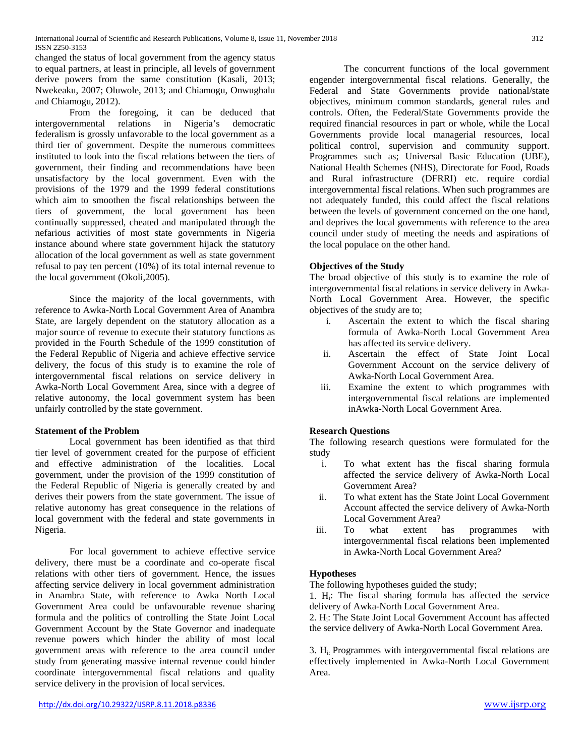changed the status of local government from the agency status to equal partners, at least in principle, all levels of government derive powers from the same constitution (Kasali, 2013; Nwekeaku, 2007; Oluwole, 2013; and Chiamogu, Onwughalu and Chiamogu, 2012).

From the foregoing, it can be deduced that intergovernmental relations in Nigeria's democratic federalism is grossly unfavorable to the local government as a third tier of government. Despite the numerous committees instituted to look into the fiscal relations between the tiers of government, their finding and recommendations have been unsatisfactory by the local government. Even with the provisions of the 1979 and the 1999 federal constitutions which aim to smoothen the fiscal relationships between the tiers of government, the local government has been continually suppressed, cheated and manipulated through the nefarious activities of most state governments in Nigeria instance abound where state government hijack the statutory allocation of the local government as well as state government refusal to pay ten percent (10%) of its total internal revenue to the local government (Okoli,2005).

Since the majority of the local governments, with reference to Awka-North Local Government Area of Anambra State, are largely dependent on the statutory allocation as a major source of revenue to execute their statutory functions as provided in the Fourth Schedule of the 1999 constitution of the Federal Republic of Nigeria and achieve effective service delivery, the focus of this study is to examine the role of intergovernmental fiscal relations on service delivery in Awka-North Local Government Area, since with a degree of relative autonomy, the local government system has been unfairly controlled by the state government.

## **Statement of the Problem**

Local government has been identified as that third tier level of government created for the purpose of efficient and effective administration of the localities. Local government, under the provision of the 1999 constitution of the Federal Republic of Nigeria is generally created by and derives their powers from the state government. The issue of relative autonomy has great consequence in the relations of local government with the federal and state governments in Nigeria.

For local government to achieve effective service delivery, there must be a coordinate and co-operate fiscal relations with other tiers of government. Hence, the issues affecting service delivery in local government administration in Anambra State, with reference to Awka North Local Government Area could be unfavourable revenue sharing formula and the politics of controlling the State Joint Local Government Account by the State Governor and inadequate revenue powers which hinder the ability of most local government areas with reference to the area council under study from generating massive internal revenue could hinder coordinate intergovernmental fiscal relations and quality service delivery in the provision of local services.

The concurrent functions of the local government engender intergovernmental fiscal relations. Generally, the Federal and State Governments provide national/state objectives, minimum common standards, general rules and controls. Often, the Federal/State Governments provide the required financial resources in part or whole, while the Local Governments provide local managerial resources, local political control, supervision and community support. Programmes such as; Universal Basic Education (UBE), National Health Schemes (NHS), Directorate for Food, Roads and Rural infrastructure (DFRRI) etc. require cordial intergovernmental fiscal relations. When such programmes are not adequately funded, this could affect the fiscal relations between the levels of government concerned on the one hand, and deprives the local governments with reference to the area council under study of meeting the needs and aspirations of the local populace on the other hand.

## **Objectives of the Study**

The broad objective of this study is to examine the role of intergovernmental fiscal relations in service delivery in Awka-North Local Government Area. However, the specific objectives of the study are to;

- i. Ascertain the extent to which the fiscal sharing formula of Awka-North Local Government Area has affected its service delivery.
- ii. Ascertain the effect of State Joint Local Government Account on the service delivery of Awka-North Local Government Area.
- iii. Examine the extent to which programmes with intergovernmental fiscal relations are implemented inAwka-North Local Government Area.

## **Research Questions**

The following research questions were formulated for the study

- i. To what extent has the fiscal sharing formula affected the service delivery of Awka-North Local Government Area?
- ii. To what extent has the State Joint Local Government Account affected the service delivery of Awka-North Local Government Area?<br>To what extent
- iii. To what extent has programmes with intergovernmental fiscal relations been implemented in Awka-North Local Government Area?

## **Hypotheses**

The following hypotheses guided the study;

1. Hi: The fiscal sharing formula has affected the service delivery of Awka-North Local Government Area.

2. Hi: The State Joint Local Government Account has affected the service delivery of Awka-North Local Government Area.

3. Hi: Programmes with intergovernmental fiscal relations are effectively implemented in Awka-North Local Government Area.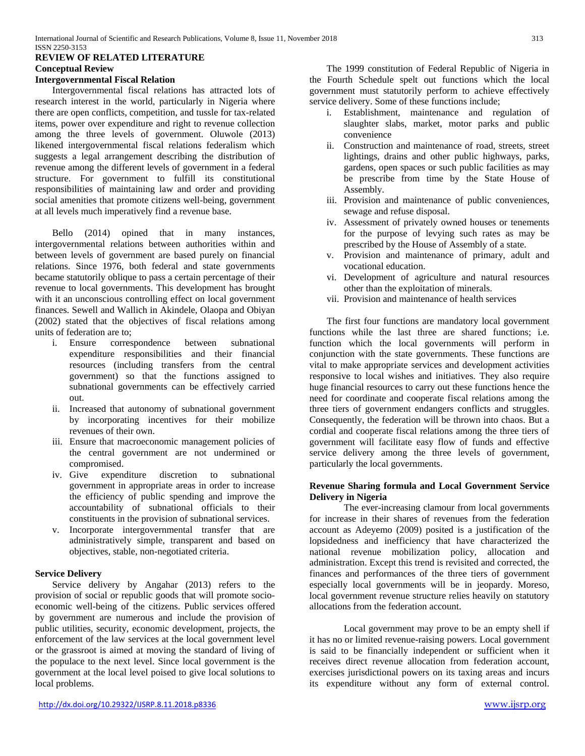## **REVIEW OF RELATED LITERATURE Conceptual Review**

#### **Intergovernmental Fiscal Relation**

Intergovernmental fiscal relations has attracted lots of research interest in the world, particularly in Nigeria where there are open conflicts, competition, and tussle for tax-related items, power over expenditure and right to revenue collection among the three levels of government. Oluwole (2013) likened intergovernmental fiscal relations federalism which suggests a legal arrangement describing the distribution of revenue among the different levels of government in a federal structure. For government to fulfill its constitutional responsibilities of maintaining law and order and providing social amenities that promote citizens well-being, government at all levels much imperatively find a revenue base.

Bello (2014) opined that in many instances, intergovernmental relations between authorities within and between levels of government are based purely on financial relations. Since 1976, both federal and state governments became statutorily oblique to pass a certain percentage of their revenue to local governments. This development has brought with it an unconscious controlling effect on local government finances. Sewell and Wallich in Akindele, Olaopa and Obiyan (2002) stated that the objectives of fiscal relations among units of federation are to;

- i. Ensure correspondence between subnational expenditure responsibilities and their financial resources (including transfers from the central government) so that the functions assigned to subnational governments can be effectively carried out.
- ii. Increased that autonomy of subnational government by incorporating incentives for their mobilize revenues of their own.
- iii. Ensure that macroeconomic management policies of the central government are not undermined or compromised.
- iv. Give expenditure discretion to subnational government in appropriate areas in order to increase the efficiency of public spending and improve the accountability of subnational officials to their constituents in the provision of subnational services.
- v. Incorporate intergovernmental transfer that are administratively simple, transparent and based on objectives, stable, non-negotiated criteria.

#### **Service Delivery**

Service delivery by Angahar (2013) refers to the provision of social or republic goods that will promote socioeconomic well-being of the citizens. Public services offered by government are numerous and include the provision of public utilities, security, economic development, projects, the enforcement of the law services at the local government level or the grassroot is aimed at moving the standard of living of the populace to the next level. Since local government is the government at the local level poised to give local solutions to local problems.

<http://dx.doi.org/10.29322/IJSRP.8.11.2018.p8336> [www.ijsrp.org](http://ijsrp.org/)

The 1999 constitution of Federal Republic of Nigeria in the Fourth Schedule spelt out functions which the local government must statutorily perform to achieve effectively service delivery. Some of these functions include;

- i. Establishment, maintenance and regulation of slaughter slabs, market, motor parks and public convenience
- ii. Construction and maintenance of road, streets, street lightings, drains and other public highways, parks, gardens, open spaces or such public facilities as may be prescribe from time by the State House of Assembly.
- iii. Provision and maintenance of public conveniences, sewage and refuse disposal.
- iv. Assessment of privately owned houses or tenements for the purpose of levying such rates as may be prescribed by the House of Assembly of a state.
- v. Provision and maintenance of primary, adult and vocational education.
- vi. Development of agriculture and natural resources other than the exploitation of minerals.
- vii. Provision and maintenance of health services

The first four functions are mandatory local government functions while the last three are shared functions; i.e. function which the local governments will perform in conjunction with the state governments. These functions are vital to make appropriate services and development activities responsive to local wishes and initiatives. They also require huge financial resources to carry out these functions hence the need for coordinate and cooperate fiscal relations among the three tiers of government endangers conflicts and struggles. Consequently, the federation will be thrown into chaos. But a cordial and cooperate fiscal relations among the three tiers of government will facilitate easy flow of funds and effective service delivery among the three levels of government, particularly the local governments.

## **Revenue Sharing formula and Local Government Service Delivery in Nigeria**

The ever-increasing clamour from local governments for increase in their shares of revenues from the federation account as Adeyemo (2009) posited is a justification of the lopsidedness and inefficiency that have characterized the national revenue mobilization policy, allocation and administration. Except this trend is revisited and corrected, the finances and performances of the three tiers of government especially local governments will be in jeopardy. Moreso, local government revenue structure relies heavily on statutory allocations from the federation account.

Local government may prove to be an empty shell if it has no or limited revenue-raising powers. Local government is said to be financially independent or sufficient when it receives direct revenue allocation from federation account, exercises jurisdictional powers on its taxing areas and incurs its expenditure without any form of external control.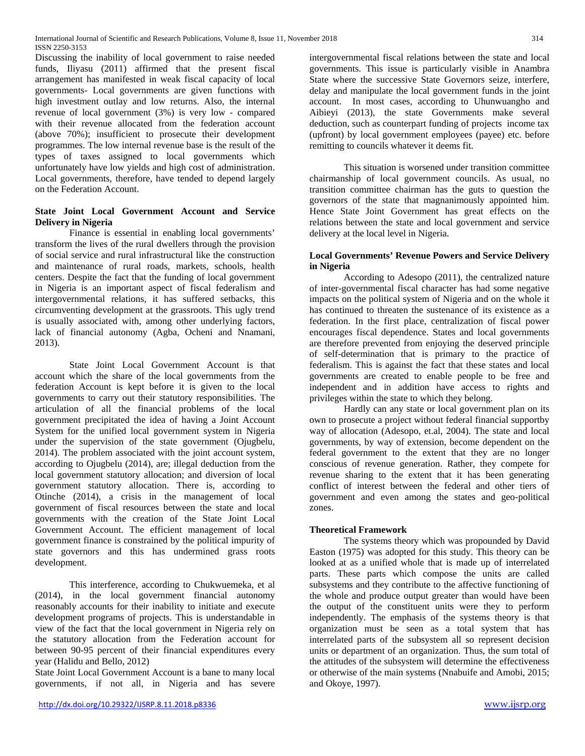Discussing the inability of local government to raise needed funds, Iliyasu (2011) affirmed that the present fiscal arrangement has manifested in weak fiscal capacity of local governments- Local governments are given functions with high investment outlay and low returns. Also, the internal revenue of local government (3%) is very low - compared with their revenue allocated from the federation account (above 70%); insufficient to prosecute their development programmes. The low internal revenue base is the result of the types of taxes assigned to local governments which unfortunately have low yields and high cost of administration. Local governments, therefore, have tended to depend largely on the Federation Account.

## **State Joint Local Government Account and Service Delivery in Nigeria**

Finance is essential in enabling local governments' transform the lives of the rural dwellers through the provision of social service and rural infrastructural like the construction and maintenance of rural roads, markets, schools, health centers. Despite the fact that the funding of local government in Nigeria is an important aspect of fiscal federalism and intergovernmental relations, it has suffered setbacks, this circumventing development at the grassroots. This ugly trend is usually associated with, among other underlying factors, lack of financial autonomy (Agba, Ocheni and Nnamani, 2013).

State Joint Local Government Account is that account which the share of the local governments from the federation Account is kept before it is given to the local governments to carry out their statutory responsibilities. The articulation of all the financial problems of the local government precipitated the idea of having a Joint Account System for the unified local government system in Nigeria under the supervision of the state government (Ojugbelu, 2014). The problem associated with the joint account system, according to Ojugbelu (2014), are; illegal deduction from the local government statutory allocation; and diversion of local government statutory allocation. There is, according to Otinche (2014), a crisis in the management of local government of fiscal resources between the state and local governments with the creation of the State Joint Local Government Account. The efficient management of local government finance is constrained by the political impurity of state governors and this has undermined grass roots development.

This interference, according to Chukwuemeka, et al (2014), in the local government financial autonomy reasonably accounts for their inability to initiate and execute development programs of projects. This is understandable in view of the fact that the local government in Nigeria rely on the statutory allocation from the Federation account for between 90-95 percent of their financial expenditures every year (Halidu and Bello, 2012)

State Joint Local Government Account is a bane to many local governments, if not all, in Nigeria and has severe

intergovernmental fiscal relations between the state and local governments. This issue is particularly visible in Anambra State where the successive State Governors seize, interfere, delay and manipulate the local government funds in the joint account. In most cases, according to Uhunwuangho and Aibieyi  $(2013)$ , the state Governments make several deduction, such as counterpart funding of projects income tax (upfront) by local government employees (payee) etc. before remitting to councils whatever it deems fit.

This situation is worsened under transition committee chairmanship of local government councils. As usual, no transition committee chairman has the guts to question the governors of the state that magnanimously appointed him. Hence State Joint Government has great effects on the relations between the state and local government and service delivery at the local level in Nigeria.

## **Local Governments' Revenue Powers and Service Delivery in Nigeria**

According to Adesopo (2011), the centralized nature of inter-governmental fiscal character has had some negative impacts on the political system of Nigeria and on the whole it has continued to threaten the sustenance of its existence as a federation. In the first place, centralization of fiscal power encourages fiscal dependence. States and local governments are therefore prevented from enjoying the deserved principle of self-determination that is primary to the practice of federalism. This is against the fact that these states and local governments are created to enable people to be free and independent and in addition have access to rights and privileges within the state to which they belong.

Hardly can any state or local government plan on its own to prosecute a project without federal financial supportby way of allocation (Adesopo, et.al, 2004). The state and local governments, by way of extension, become dependent on the federal government to the extent that they are no longer conscious of revenue generation. Rather, they compete for revenue sharing to the extent that it has been generating conflict of interest between the federal and other tiers of government and even among the states and geo-political zones.

## **Theoretical Framework**

The systems theory which was propounded by David Easton (1975) was adopted for this study. This theory can be looked at as a unified whole that is made up of interrelated parts. These parts which compose the units are called subsystems and they contribute to the affective functioning of the whole and produce output greater than would have been the output of the constituent units were they to perform independently. The emphasis of the systems theory is that organization must be seen as a total system that has interrelated parts of the subsystem all so represent decision units or department of an organization. Thus, the sum total of the attitudes of the subsystem will determine the effectiveness or otherwise of the main systems (Nnabuife and Amobi, 2015; and Okoye, 1997).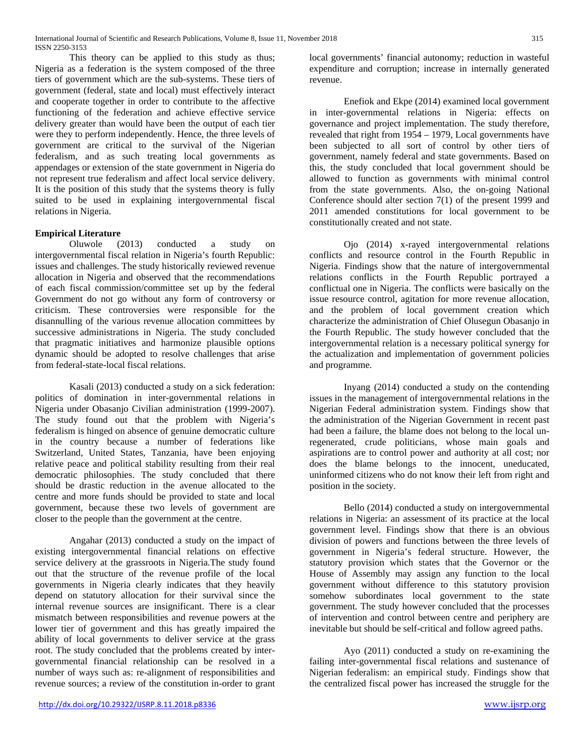This theory can be applied to this study as thus; Nigeria as a federation is the system composed of the three tiers of government which are the sub-systems. These tiers of government (federal, state and local) must effectively interact and cooperate together in order to contribute to the affective functioning of the federation and achieve effective service delivery greater than would have been the output of each tier were they to perform independently. Hence, the three levels of government are critical to the survival of the Nigerian federalism, and as such treating local governments as appendages or extension of the state government in Nigeria do not represent true federalism and affect local service delivery. It is the position of this study that the systems theory is fully suited to be used in explaining intergovernmental fiscal relations in Nigeria.

## **Empirical Literature**

Oluwole (2013) conducted a study on intergovernmental fiscal relation in Nigeria's fourth Republic: issues and challenges. The study historically reviewed revenue allocation in Nigeria and observed that the recommendations of each fiscal commission/committee set up by the federal Government do not go without any form of controversy or criticism. These controversies were responsible for the disannulling of the various revenue allocation committees by successive administrations in Nigeria. The study concluded that pragmatic initiatives and harmonize plausible options dynamic should be adopted to resolve challenges that arise from federal-state-local fiscal relations.

Kasali (2013) conducted a study on a sick federation: politics of domination in inter-governmental relations in Nigeria under Obasanjo Civilian administration (1999-2007). The study found out that the problem with Nigeria's federalism is hinged on absence of genuine democratic culture in the country because a number of federations like Switzerland, United States, Tanzania, have been enjoying relative peace and political stability resulting from their real democratic philosophies. The study concluded that there should be drastic reduction in the avenue allocated to the centre and more funds should be provided to state and local government, because these two levels of government are closer to the people than the government at the centre.

Angahar (2013) conducted a study on the impact of existing intergovernmental financial relations on effective service delivery at the grassroots in Nigeria.The study found out that the structure of the revenue profile of the local governments in Nigeria clearly indicates that they heavily depend on statutory allocation for their survival since the internal revenue sources are insignificant. There is a clear mismatch between responsibilities and revenue powers at the lower tier of government and this has greatly impaired the ability of local governments to deliver service at the grass root. The study concluded that the problems created by intergovernmental financial relationship can be resolved in a number of ways such as: re-alignment of responsibilities and revenue sources; a review of the constitution in-order to grant

local governments' financial autonomy; reduction in wasteful expenditure and corruption; increase in internally generated revenue.

Enefiok and Ekpe (2014) examined local government in inter-governmental relations in Nigeria: effects on governance and project implementation. The study therefore, revealed that right from 1954 – 1979, Local governments have been subjected to all sort of control by other tiers of government, namely federal and state governments. Based on this, the study concluded that local government should be allowed to function as governments with minimal control from the state governments. Also, the on-going National Conference should alter section 7(1) of the present 1999 and 2011 amended constitutions for local government to be constitutionally created and not state.

Ojo (2014) x-rayed intergovernmental relations conflicts and resource control in the Fourth Republic in Nigeria. Findings show that the nature of intergovernmental relations conflicts in the Fourth Republic portrayed a conflictual one in Nigeria. The conflicts were basically on the issue resource control, agitation for more revenue allocation, and the problem of local government creation which characterize the administration of Chief Olusegun Obasanjo in the Fourth Republic. The study however concluded that the intergovernmental relation is a necessary political synergy for the actualization and implementation of government policies and programme.

Inyang (2014) conducted a study on the contending issues in the management of intergovernmental relations in the Nigerian Federal administration system. Findings show that the administration of the Nigerian Government in recent past had been a failure, the blame does not belong to the local unregenerated, crude politicians, whose main goals and aspirations are to control power and authority at all cost; nor does the blame belongs to the innocent, uneducated, uninformed citizens who do not know their left from right and position in the society.

Bello (2014) conducted a study on intergovernmental relations in Nigeria: an assessment of its practice at the local government level. Findings show that there is an obvious division of powers and functions between the three levels of government in Nigeria's federal structure. However, the statutory provision which states that the Governor or the House of Assembly may assign any function to the local government without difference to this statutory provision somehow subordinates local government to the state government. The study however concluded that the processes of intervention and control between centre and periphery are inevitable but should be self-critical and follow agreed paths.

Ayo (2011) conducted a study on re-examining the failing inter-governmental fiscal relations and sustenance of Nigerian federalism: an empirical study. Findings show that the centralized fiscal power has increased the struggle for the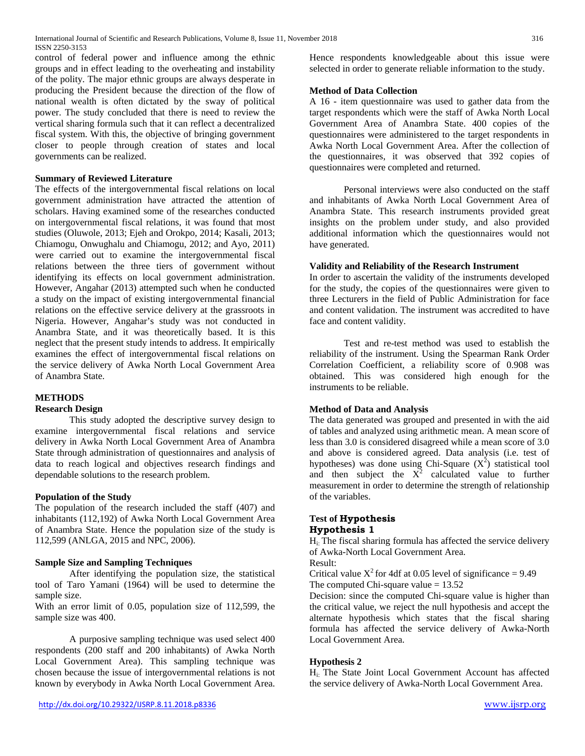control of federal power and influence among the ethnic groups and in effect leading to the overheating and instability of the polity. The major ethnic groups are always desperate in producing the President because the direction of the flow of national wealth is often dictated by the sway of political power. The study concluded that there is need to review the vertical sharing formula such that it can reflect a decentralized fiscal system. With this, the objective of bringing government closer to people through creation of states and local governments can be realized.

## **Summary of Reviewed Literature**

The effects of the intergovernmental fiscal relations on local government administration have attracted the attention of scholars. Having examined some of the researches conducted on intergovernmental fiscal relations, it was found that most studies (Oluwole, 2013; Ejeh and Orokpo, 2014; Kasali, 2013; Chiamogu, Onwughalu and Chiamogu, 2012; and Ayo, 2011) were carried out to examine the intergovernmental fiscal relations between the three tiers of government without identifying its effects on local government administration. However, Angahar (2013) attempted such when he conducted a study on the impact of existing intergovernmental financial relations on the effective service delivery at the grassroots in Nigeria. However, Angahar's study was not conducted in Anambra State, and it was theoretically based. It is this neglect that the present study intends to address. It empirically examines the effect of intergovernmental fiscal relations on the service delivery of Awka North Local Government Area of Anambra State.

## **METHODS**

#### **Research Design**

This study adopted the descriptive survey design to examine intergovernmental fiscal relations and service delivery in Awka North Local Government Area of Anambra State through administration of questionnaires and analysis of data to reach logical and objectives research findings and dependable solutions to the research problem.

#### **Population of the Study**

The population of the research included the staff (407) and inhabitants (112,192) of Awka North Local Government Area of Anambra State. Hence the population size of the study is 112,599 (ANLGA, 2015 and NPC, 2006).

#### **Sample Size and Sampling Techniques**

After identifying the population size, the statistical tool of Taro Yamani (1964) will be used to determine the sample size.

With an error limit of 0.05, population size of 112,599, the sample size was 400.

A purposive sampling technique was used select 400 respondents (200 staff and 200 inhabitants) of Awka North Local Government Area). This sampling technique was chosen because the issue of intergovernmental relations is not known by everybody in Awka North Local Government Area. Hence respondents knowledgeable about this issue were selected in order to generate reliable information to the study.

#### **Method of Data Collection**

A 16 - item questionnaire was used to gather data from the target respondents which were the staff of Awka North Local Government Area of Anambra State. 400 copies of the questionnaires were administered to the target respondents in Awka North Local Government Area. After the collection of the questionnaires, it was observed that 392 copies of questionnaires were completed and returned.

Personal interviews were also conducted on the staff and inhabitants of Awka North Local Government Area of Anambra State. This research instruments provided great insights on the problem under study, and also provided additional information which the questionnaires would not have generated.

#### **Validity and Reliability of the Research Instrument**

In order to ascertain the validity of the instruments developed for the study, the copies of the questionnaires were given to three Lecturers in the field of Public Administration for face and content validation. The instrument was accredited to have face and content validity.

Test and re-test method was used to establish the reliability of the instrument. Using the Spearman Rank Order Correlation Coefficient, a reliability score of 0.908 was obtained. This was considered high enough for the instruments to be reliable.

## **Method of Data and Analysis**

The data generated was grouped and presented in with the aid of tables and analyzed using arithmetic mean. A mean score of less than 3.0 is considered disagreed while a mean score of 3.0 and above is considered agreed. Data analysis (i.e. test of hypotheses) was done using Chi-Square  $(X^2)$  statistical tool and then subject the  $X^2$  calculated value to further measurement in order to determine the strength of relationship of the variables.

#### **Test of Hypothesis Hypothesis 1**

Hi: The fiscal sharing formula has affected the service delivery of Awka-North Local Government Area.

Result:

Critical value  $X^2$  for 4df at 0.05 level of significance = 9.49 The computed Chi-square value  $= 13.52$ 

Decision: since the computed Chi-square value is higher than the critical value, we reject the null hypothesis and accept the alternate hypothesis which states that the fiscal sharing formula has affected the service delivery of Awka-North Local Government Area.

#### **Hypothesis 2**

Hi: The State Joint Local Government Account has affected the service delivery of Awka-North Local Government Area.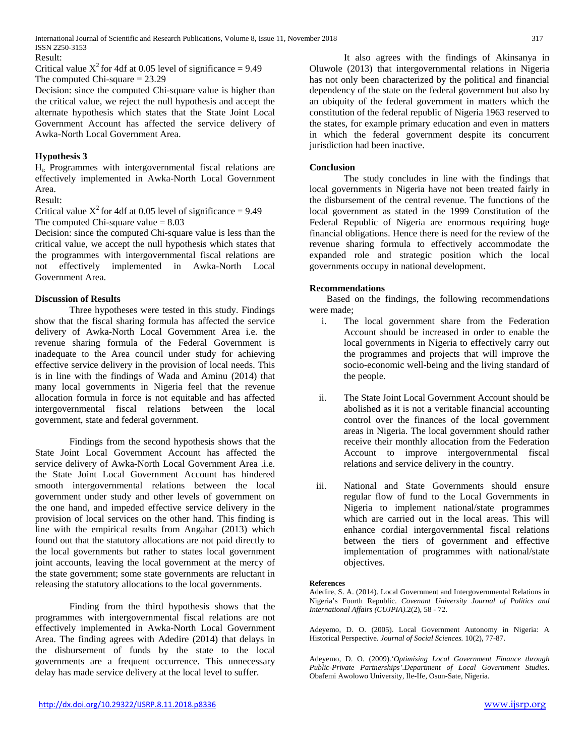International Journal of Scientific and Research Publications, Volume 8, Issue 11, November 2018 317 ISSN 2250-3153

Result:

Critical value  $X^2$  for 4df at 0.05 level of significance = 9.49 The computed Chi-square  $= 23.29$ 

Decision: since the computed Chi-square value is higher than the critical value, we reject the null hypothesis and accept the alternate hypothesis which states that the State Joint Local Government Account has affected the service delivery of Awka-North Local Government Area.

### **Hypothesis 3**

Hi: Programmes with intergovernmental fiscal relations are effectively implemented in Awka-North Local Government Area.

#### Result:

Critical value  $X^2$  for 4df at 0.05 level of significance = 9.49 The computed Chi-square value  $= 8.03$ 

Decision: since the computed Chi-square value is less than the critical value, we accept the null hypothesis which states that the programmes with intergovernmental fiscal relations are not effectively implemented in Awka-North Local Government Area.

#### **Discussion of Results**

Three hypotheses were tested in this study. Findings show that the fiscal sharing formula has affected the service delivery of Awka-North Local Government Area i.e. the revenue sharing formula of the Federal Government is inadequate to the Area council under study for achieving effective service delivery in the provision of local needs. This is in line with the findings of Wada and Aminu (2014) that many local governments in Nigeria feel that the revenue allocation formula in force is not equitable and has affected intergovernmental fiscal relations between the local government, state and federal government.

Findings from the second hypothesis shows that the State Joint Local Government Account has affected the service delivery of Awka-North Local Government Area .i.e. the State Joint Local Government Account has hindered smooth intergovernmental relations between the local government under study and other levels of government on the one hand, and impeded effective service delivery in the provision of local services on the other hand. This finding is line with the empirical results from Angahar (2013) which found out that the statutory allocations are not paid directly to the local governments but rather to states local government joint accounts, leaving the local government at the mercy of the state government; some state governments are reluctant in releasing the statutory allocations to the local governments.

Finding from the third hypothesis shows that the programmes with intergovernmental fiscal relations are not effectively implemented in Awka-North Local Government Area. The finding agrees with Adedire (2014) that delays in the disbursement of funds by the state to the local governments are a frequent occurrence. This unnecessary delay has made service delivery at the local level to suffer.

It also agrees with the findings of Akinsanya in Oluwole (2013) that intergovernmental relations in Nigeria has not only been characterized by the political and financial dependency of the state on the federal government but also by an ubiquity of the federal government in matters which the constitution of the federal republic of Nigeria 1963 reserved to the states, for example primary education and even in matters in which the federal government despite its concurrent jurisdiction had been inactive.

### **Conclusion**

The study concludes in line with the findings that local governments in Nigeria have not been treated fairly in the disbursement of the central revenue. The functions of the local government as stated in the 1999 Constitution of the Federal Republic of Nigeria are enormous requiring huge financial obligations. Hence there is need for the review of the revenue sharing formula to effectively accommodate the expanded role and strategic position which the local governments occupy in national development.

#### **Recommendations**

Based on the findings, the following recommendations were made;

- i. The local government share from the Federation Account should be increased in order to enable the local governments in Nigeria to effectively carry out the programmes and projects that will improve the socio-economic well-being and the living standard of the people.
- ii. The State Joint Local Government Account should be abolished as it is not a veritable financial accounting control over the finances of the local government areas in Nigeria. The local government should rather receive their monthly allocation from the Federation Account to improve intergovernmental fiscal relations and service delivery in the country.
- iii. National and State Governments should ensure regular flow of fund to the Local Governments in Nigeria to implement national/state programmes which are carried out in the local areas. This will enhance cordial intergovernmental fiscal relations between the tiers of government and effective implementation of programmes with national/state objectives.

#### **References**

Adedire, S. A. (2014). Local Government and Intergovernmental Relations in Nigeria's Fourth Republic. *Covenant University Journal of Politics and International Affairs (CUJPIA).*2(2), 58 - 72.

Adeyemo, D. O. (2005). Local Government Autonomy in Nigeria: A Historical Perspective. *Journal of Social Sciences.* 10(2), 77-87.

Adeyemo, D. O. (2009).'*Optimising Local Government Finance through Public-Private Partnerships'.Department of Local Government Studies*. Obafemi Awolowo University, Ile-Ife, Osun-Sate, Nigeria.